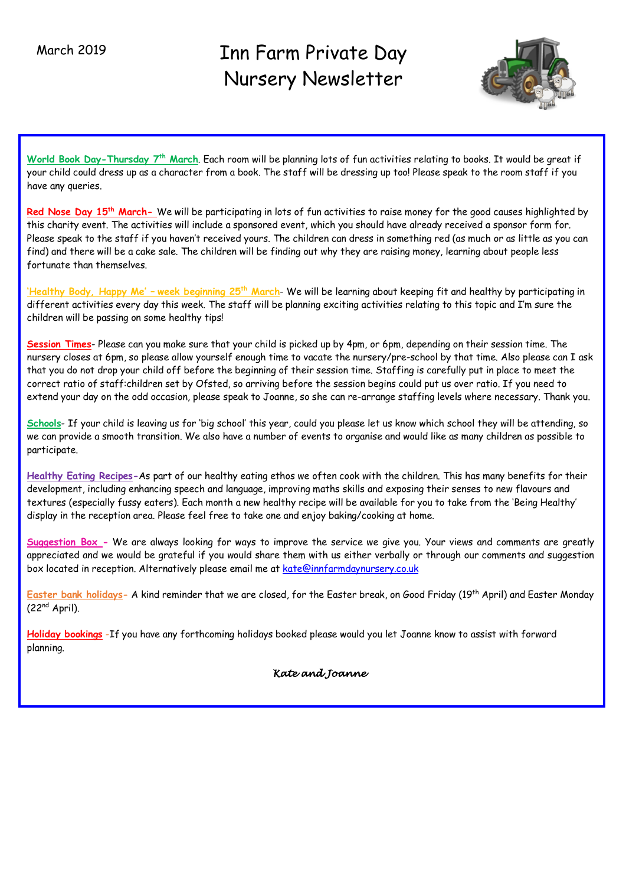# Inn Farm Private Day Nursery Newsletter



**World Book Day-Thursday 7th March**. Each room will be planning lots of fun activities relating to books. It would be great if your child could dress up as a character from a book. The staff will be dressing up too! Please speak to the room staff if you have any queries.

Red Nose Day 15<sup>th</sup> March- We will be participating in lots of fun activities to raise money for the good causes highlighted by this charity event. The activities will include a sponsored event, which you should have already received a sponsor form for. Please speak to the staff if you haven't received yours. The children can dress in something red (as much or as little as you can find) and there will be a cake sale. The children will be finding out why they are raising money, learning about people less fortunate than themselves.

**'Healthy Body, Happy Me' – week beginning 25th March**- We will be learning about keeping fit and healthy by participating in different activities every day this week. The staff will be planning exciting activities relating to this topic and I'm sure the children will be passing on some healthy tips!

**Session Times**- Please can you make sure that your child is picked up by 4pm, or 6pm, depending on their session time. The nursery closes at 6pm, so please allow yourself enough time to vacate the nursery/pre-school by that time. Also please can I ask that you do not drop your child off before the beginning of their session time. Staffing is carefully put in place to meet the correct ratio of staff:children set by Ofsted, so arriving before the session begins could put us over ratio. If you need to extend your day on the odd occasion, please speak to Joanne, so she can re-arrange staffing levels where necessary. Thank you.

**Schools**- If your child is leaving us for 'big school' this year, could you please let us know which school they will be attending, so we can provide a smooth transition. We also have a number of events to organise and would like as many children as possible to participate.

**Healthy Eating Recipes-**As part of our healthy eating ethos we often cook with the children. This has many benefits for their development, including enhancing speech and language, improving maths skills and exposing their senses to new flavours and textures (especially fussy eaters). Each month a new healthy recipe will be available for you to take from the 'Being Healthy' display in the reception area. Please feel free to take one and enjoy baking/cooking at home.

**Suggestion Box -** We are always looking for ways to improve the service we give you. Your views and comments are greatly appreciated and we would be grateful if you would share them with us either verbally or through our comments and suggestion box located in reception. Alternatively please email me at kate@innfarmdaynursery.co.uk

**Easter bank holidays-** A kind reminder that we are closed, for the Easter break, on Good Friday (19th April) and Easter Monday  $(22<sup>nd</sup> April).$ 

**Holiday bookings** -If you have any forthcoming holidays booked please would you let Joanne know to assist with forward planning.

*Kate and Joanne*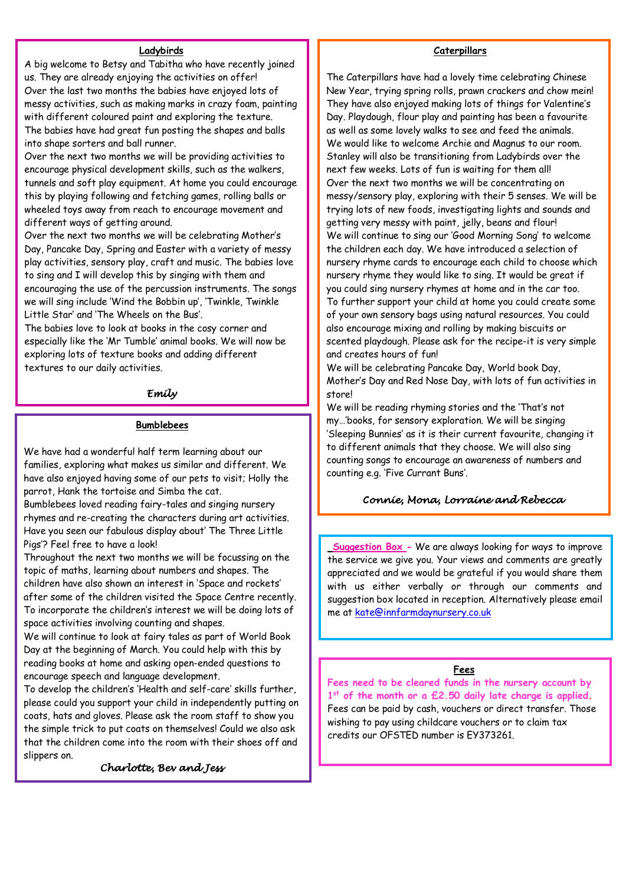## **Ladybirds**

A big welcome to Betsy and Tabitha who have recently joined us. They are already enjoying the activities on offer! Over the last two months the babies have enjoyed lots of messy activities, such as making marks in crazy foam, painting with different coloured paint and exploring the texture. The babies have had great fun posting the shapes and balls into shape sorters and ball runner.

Over the next two months we will be providing activities to encourage physical development skills, such as the walkers, tunnels and soft play equipment. At home you could encourage this by playing following and fetching games, rolling balls or wheeled toys away from reach to encourage movement and different ways of getting around.

Over the next two months we will be celebrating Mother's Day, Pancake Day, Spring and Easter with a variety of messy play activities, sensory play, craft and music. The babies love to sing and I will develop this by singing with them and encouraging the use of the percussion instruments. The songs we will sing include 'Wind the Bobbin up', 'Twinkle, Twinkle Little Star' and 'The Wheels on the Bus'.

The babies love to look at books in the cosy corner and especially like the 'Mr Tumble' animal books. We will now be exploring lots of texture books and adding different textures to our daily activities.

## *Emily*

## **Bumblebees**

We have had a wonderful half term learning about our families, exploring what makes us similar and different. We have also enjoyed having some of our pets to visit; Holly the parrot, Hank the tortoise and Simba the cat.

Bumblebees loved reading fairy-tales and singing nursery rhymes and re-creating the characters during art activities. Have you seen our fabulous display about' The Three Little Pigs'? Feel free to have a look!

Throughout the next two months we will be focussing on the topic of maths, learning about numbers and shapes. The children have also shown an interest in 'Space and rockets' after some of the children visited the Space Centre recently. To incorporate the children's interest we will be doing lots of space activities involving counting and shapes.

We will continue to look at fairy tales as part of World Book Day at the beginning of March. You could help with this by reading books at home and asking open-ended questions to encourage speech and language development.

To develop the children's 'Health and self-care' skills further, please could you support your child in independently putting on coats, hats and gloves. Please ask the room staff to show you the simple trick to put coats on themselves! Could we also ask that the children come into the room with their shoes off and slippers on.

*Charlotte, Bev and Jess* 

## **Caterpillars**

The Caterpillars have had a lovely time celebrating Chinese New Year, trying spring rolls, prawn crackers and chow mein! They have also enjoyed making lots of things for Valentine's Day. Playdough, flour play and painting has been a favourite as well as some lovely walks to see and feed the animals. We would like to welcome Archie and Magnus to our room. Stanley will also be transitioning from Ladybirds over the next few weeks. Lots of fun is waiting for them all! Over the next two months we will be concentrating on messy/sensory play, exploring with their 5 senses. We will be trying lots of new foods, investigating lights and sounds and getting very messy with paint, jelly, beans and flour! We will continue to sing our 'Good Morning Song' to welcome the children each day. We have introduced a selection of nursery rhyme cards to encourage each child to choose which nursery rhyme they would like to sing. It would be great if you could sing nursery rhymes at home and in the car too. To further support your child at home you could create some of your own sensory bags using natural resources. You could also encourage mixing and rolling by making biscuits or scented playdough. Please ask for the recipe-it is very simple and creates hours of fun!

We will be celebrating Pancake Day, World book Day, Mother's Day and Red Nose Day, with lots of fun activities in store!

We will be reading rhyming stories and the 'That's not my…'books, for sensory exploration. We will be singing 'Sleeping Bunnies' as it is their current favourite, changing it to different animals that they choose. We will also sing counting songs to encourage an awareness of numbers and counting e.g. 'Five Currant Buns'.

## **C***onnie, Mona, Lorraine and Rebecca*

the service we give you. Your views and comments are greatly **Suggestion Box -** We are always looking for ways to improve appreciated and we would be grateful if you would share them with us either verbally or through our comments and suggestion box located in reception. Alternatively please email me at kate@innfarmdaynursery.co.uk

#### **Fees**

**Fees need to be cleared funds in the nursery account by 1st of the month or a £2.50 daily late charge is applied.** Fees can be paid by cash, vouchers or direct transfer. Those wishing to pay using childcare vouchers or to claim tax credits our OFSTED number is EY373261.